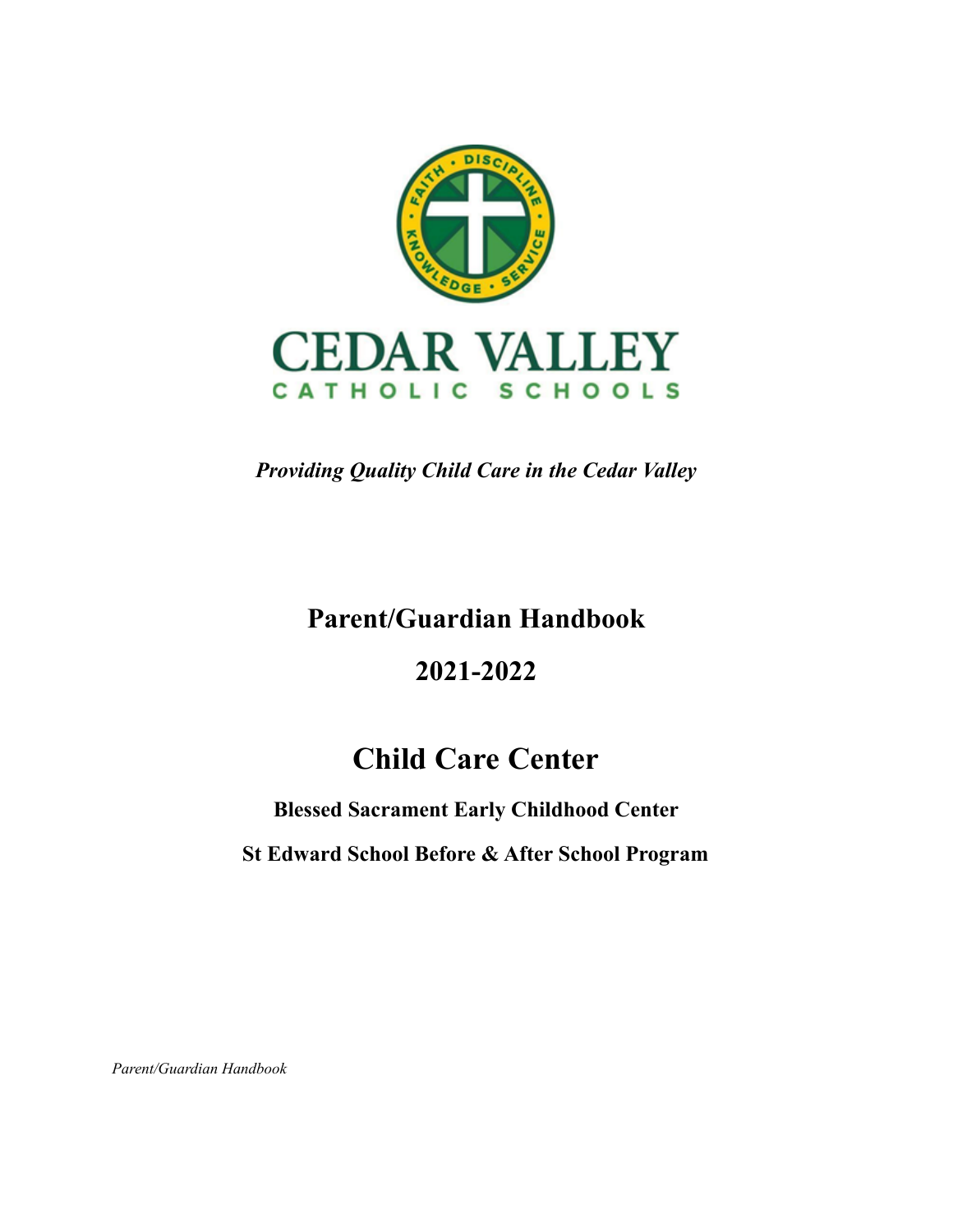

*Providing Quality Child Care in the Cedar Valley*

# **Parent/Guardian Handbook**

# **2021-2022**

# **Child Care Center**

# **Blessed Sacrament Early Childhood Center**

# **St Edward School Before & After School Program**

*Parent/Guardian Handbook*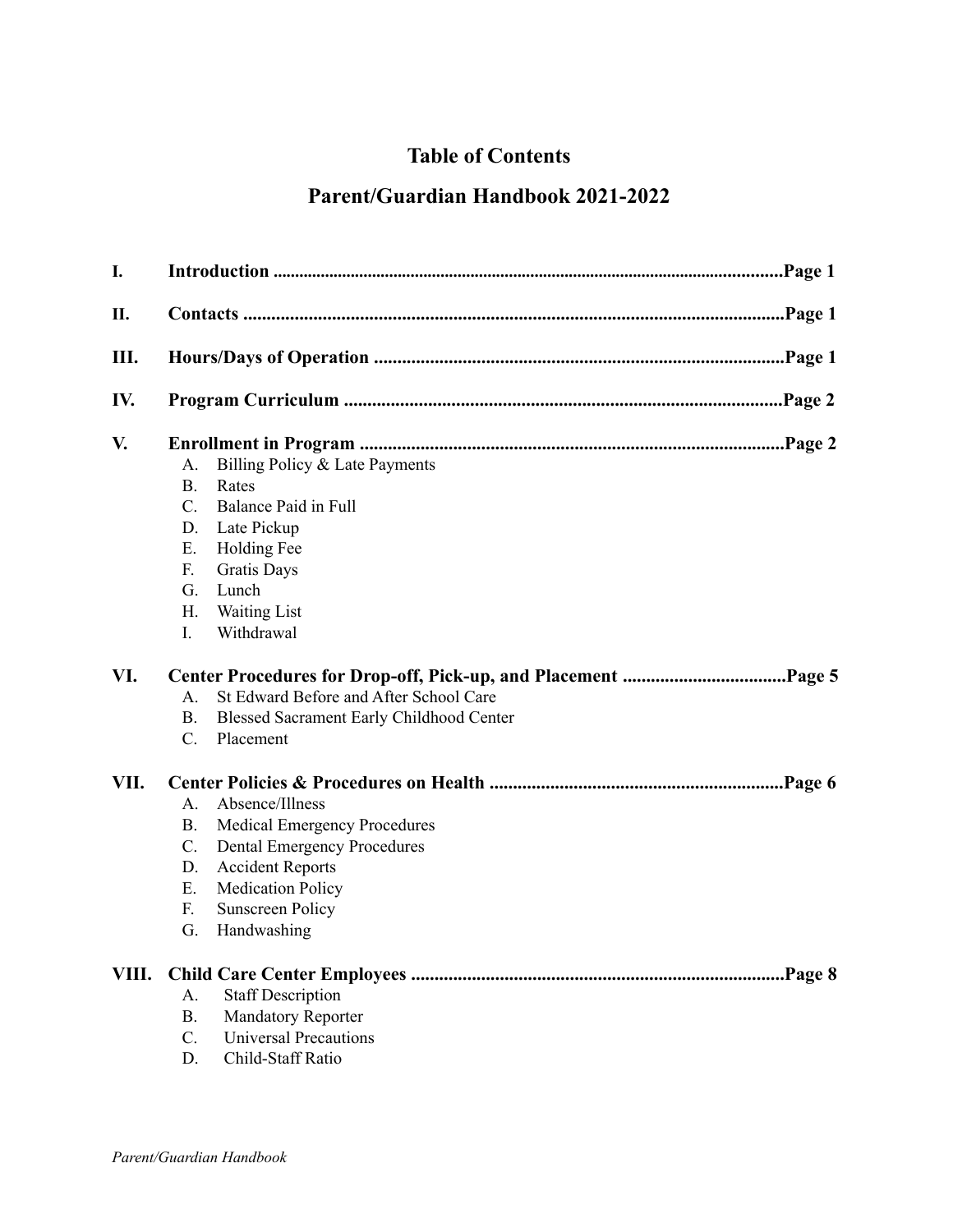# **Table of Contents**

# **Parent/Guardian Handbook 2021-2022**

| I.    |                                                                                                                                                                                                                                         |  |  |
|-------|-----------------------------------------------------------------------------------------------------------------------------------------------------------------------------------------------------------------------------------------|--|--|
| П.    |                                                                                                                                                                                                                                         |  |  |
| Ш.    |                                                                                                                                                                                                                                         |  |  |
| IV.   |                                                                                                                                                                                                                                         |  |  |
| V.    | Billing Policy & Late Payments<br>A.<br><b>B.</b><br>Rates<br>C.<br>Balance Paid in Full<br>Late Pickup<br>D.<br>Holding Fee<br>Ε.<br><b>Gratis Days</b><br>F.<br>G.<br>Lunch<br><b>Waiting List</b><br>Η.<br>Withdrawal<br>I.          |  |  |
| VI.   | St Edward Before and After School Care<br>$\mathsf{A}$ .<br><b>Blessed Sacrament Early Childhood Center</b><br>B.<br>$C_{\cdot}$<br>Placement                                                                                           |  |  |
| VII.  | Absence/Illness<br>A.<br><b>Medical Emergency Procedures</b><br>Β.<br><b>Dental Emergency Procedures</b><br>C.<br><b>Accident Reports</b><br>D.<br><b>Medication Policy</b><br>Ε.<br>F.<br><b>Sunscreen Policy</b><br>Handwashing<br>G. |  |  |
| VIII. | <b>Staff Description</b><br>A.<br><b>Mandatory Reporter</b><br><b>B.</b><br>$C_{\cdot}$<br><b>Universal Precautions</b><br>Child-Staff Ratio<br>D.                                                                                      |  |  |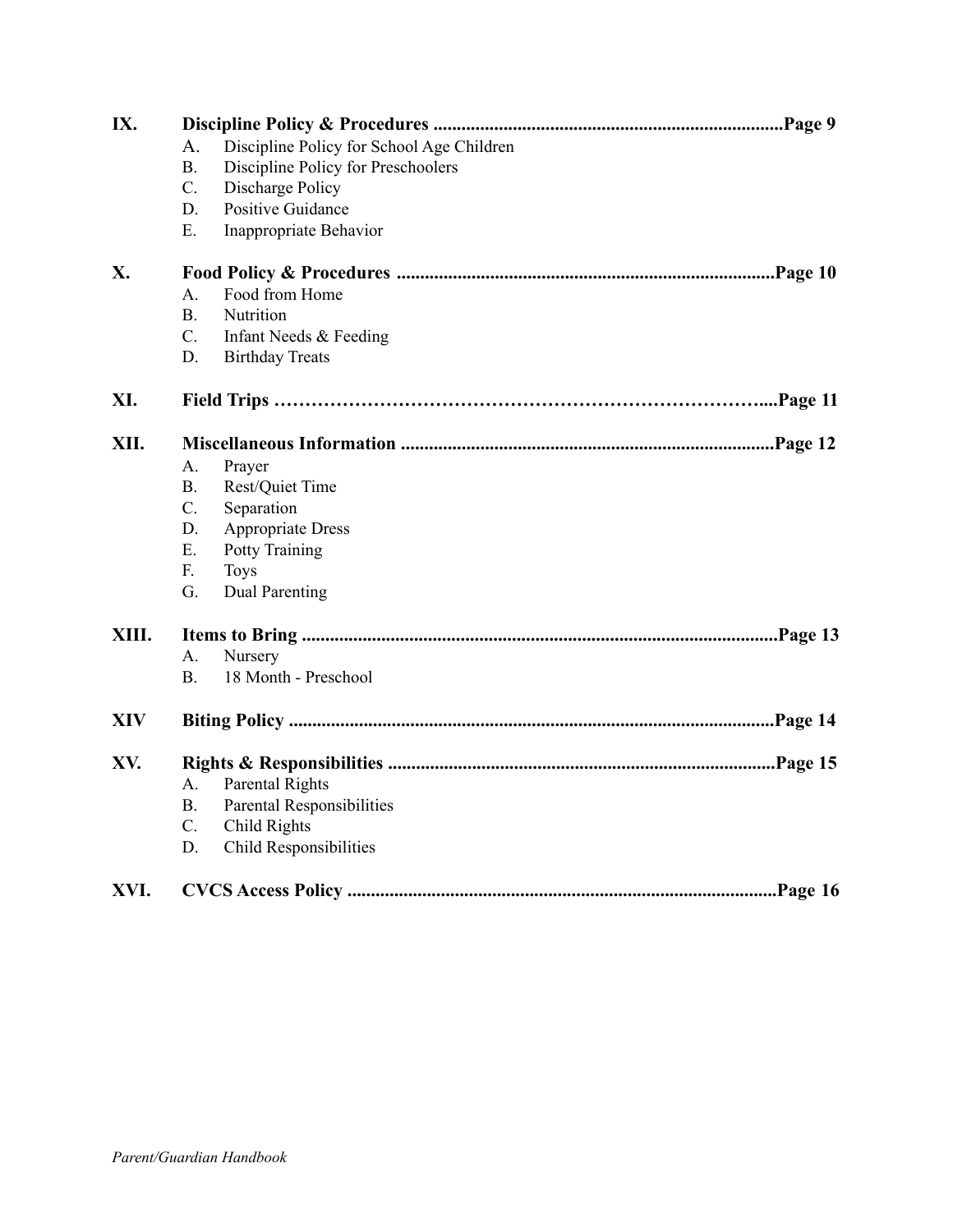| IX.        |                                                 |  |
|------------|-------------------------------------------------|--|
|            | Discipline Policy for School Age Children<br>A. |  |
|            | Discipline Policy for Preschoolers<br><b>B.</b> |  |
|            | $C$ .<br>Discharge Policy                       |  |
|            | D.<br><b>Positive Guidance</b>                  |  |
|            | Ε.<br>Inappropriate Behavior                    |  |
| X.         |                                                 |  |
|            | Food from Home<br>A.                            |  |
|            | Nutrition<br>B.                                 |  |
|            | C.<br>Infant Needs & Feeding                    |  |
|            | D.<br><b>Birthday Treats</b>                    |  |
| XI.        |                                                 |  |
| XII.       |                                                 |  |
|            | A.<br>Prayer                                    |  |
|            | Rest/Quiet Time<br><b>B.</b>                    |  |
|            | $C$ .<br>Separation                             |  |
|            | D.<br><b>Appropriate Dress</b>                  |  |
|            | Ε.<br>Potty Training                            |  |
|            | F.<br><b>Toys</b>                               |  |
|            | G.<br><b>Dual Parenting</b>                     |  |
| XIII.      |                                                 |  |
|            | A.<br>Nursery                                   |  |
|            | 18 Month - Preschool<br>B.                      |  |
| <b>XIV</b> |                                                 |  |
| XV.        |                                                 |  |
|            | Parental Rights<br>A.                           |  |
|            | Parental Responsibilities<br><b>B.</b>          |  |
|            | $C$ .<br>Child Rights                           |  |
|            | D.<br>Child Responsibilities                    |  |
| XVI.       |                                                 |  |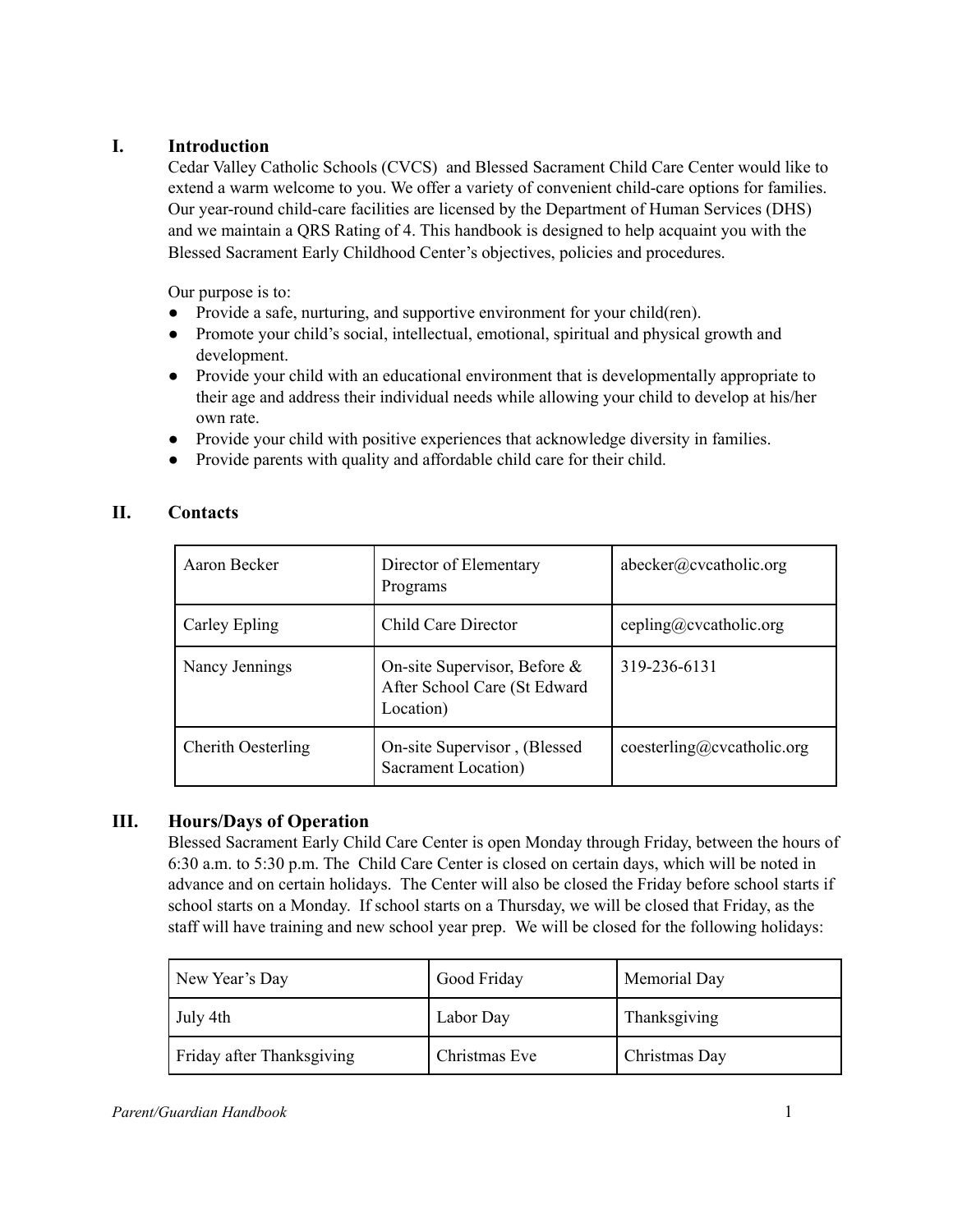# **I. Introduction**

Cedar Valley Catholic Schools (CVCS) and Blessed Sacrament Child Care Center would like to extend a warm welcome to you. We offer a variety of convenient child-care options for families. Our year-round child-care facilities are licensed by the Department of Human Services (DHS) and we maintain a QRS Rating of 4. This handbook is designed to help acquaint you with the Blessed Sacrament Early Childhood Center's objectives, policies and procedures.

Our purpose is to:

- Provide a safe, nurturing, and supportive environment for your child(ren).
- Promote your child's social, intellectual, emotional, spiritual and physical growth and development.
- Provide your child with an educational environment that is developmentally appropriate to their age and address their individual needs while allowing your child to develop at his/her own rate.
- Provide your child with positive experiences that acknowledge diversity in families.
- Provide parents with quality and affordable child care for their child.

| Aaron Becker              | Director of Elementary<br>Programs                                           | abecker@cvcatholic.org     |
|---------------------------|------------------------------------------------------------------------------|----------------------------|
| Carley Epling             | Child Care Director                                                          | cepling@cvcatholic.org     |
| Nancy Jennings            | On-site Supervisor, Before $\&$<br>After School Care (St Edward<br>Location) | 319-236-6131               |
| <b>Cherith Oesterling</b> | On-site Supervisor, (Blessed<br>Sacrament Location)                          | coesterling@cvcatholic.org |

### **II. Contacts**

# **III. Hours/Days of Operation**

Blessed Sacrament Early Child Care Center is open Monday through Friday, between the hours of 6:30 a.m. to 5:30 p.m. The Child Care Center is closed on certain days, which will be noted in advance and on certain holidays. The Center will also be closed the Friday before school starts if school starts on a Monday. If school starts on a Thursday, we will be closed that Friday, as the staff will have training and new school year prep. We will be closed for the following holidays:

| New Year's Day            | Good Friday   | Memorial Day  |
|---------------------------|---------------|---------------|
| July 4th                  | Labor Day     | Thanksgiving  |
| Friday after Thanksgiving | Christmas Eve | Christmas Day |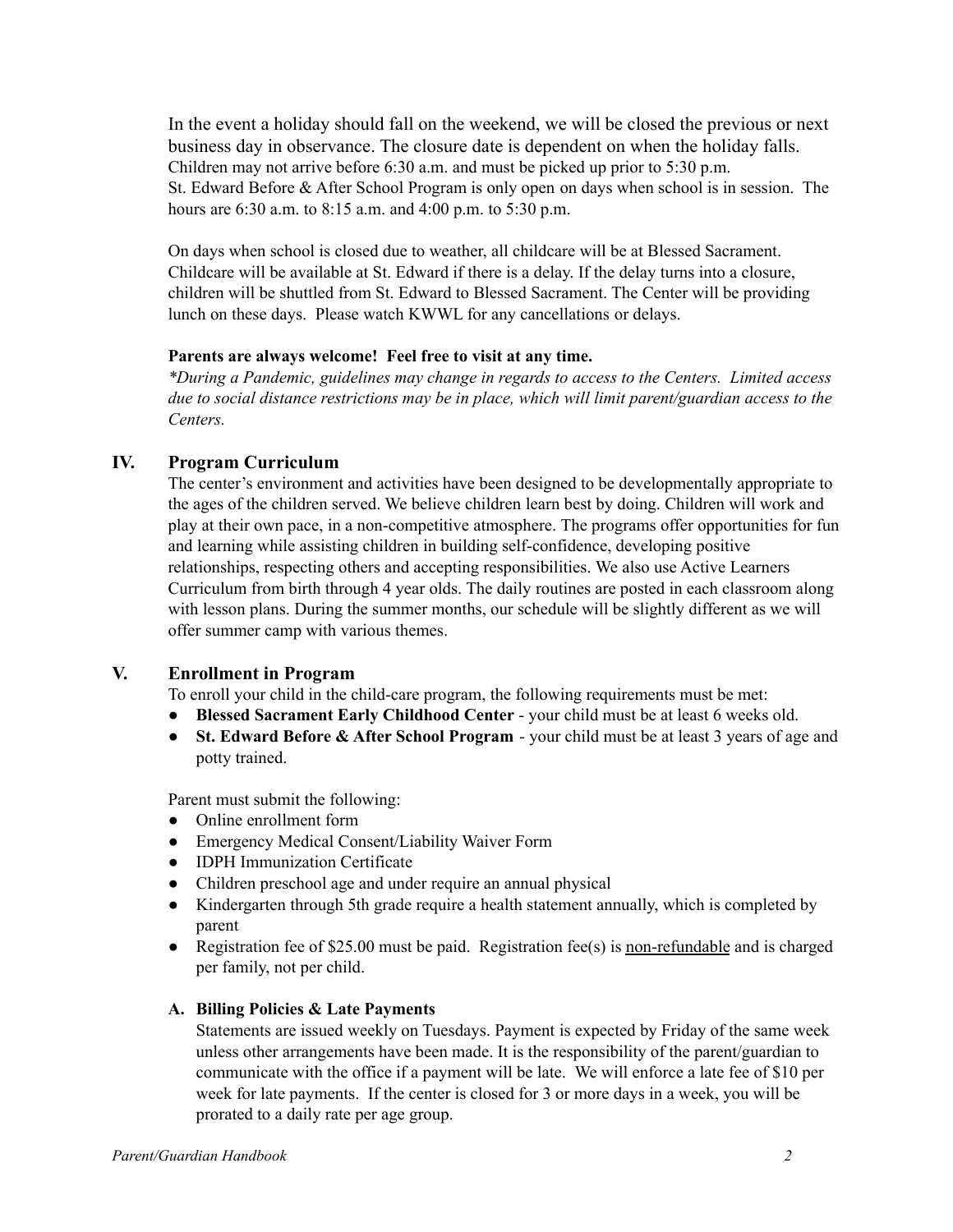In the event a holiday should fall on the weekend, we will be closed the previous or next business day in observance. The closure date is dependent on when the holiday falls. Children may not arrive before 6:30 a.m. and must be picked up prior to 5:30 p.m. St. Edward Before & After School Program is only open on days when school is in session. The hours are 6:30 a.m. to 8:15 a.m. and 4:00 p.m. to 5:30 p.m.

On days when school is closed due to weather, all childcare will be at Blessed Sacrament. Childcare will be available at St. Edward if there is a delay. If the delay turns into a closure, children will be shuttled from St. Edward to Blessed Sacrament. The Center will be providing lunch on these days. Please watch KWWL for any cancellations or delays.

#### **Parents are always welcome! Feel free to visit at any time.**

*\*During a Pandemic, guidelines may change in regards to access to the Centers. Limited access due to social distance restrictions may be in place, which will limit parent/guardian access to the Centers.*

#### **IV. Program Curriculum**

The center's environment and activities have been designed to be developmentally appropriate to the ages of the children served. We believe children learn best by doing. Children will work and play at their own pace, in a non-competitive atmosphere. The programs offer opportunities for fun and learning while assisting children in building self-confidence, developing positive relationships, respecting others and accepting responsibilities. We also use Active Learners Curriculum from birth through 4 year olds. The daily routines are posted in each classroom along with lesson plans. During the summer months, our schedule will be slightly different as we will offer summer camp with various themes.

#### **V. Enrollment in Program**

To enroll your child in the child-care program, the following requirements must be met:

- **Blessed Sacrament Early Childhood Center** your child must be at least 6 weeks old.
- **St. Edward Before & After School Program** your child must be at least 3 years of age and potty trained.

Parent must submit the following:

- Online enrollment form
- Emergency Medical Consent/Liability Waiver Form
- IDPH Immunization Certificate
- Children preschool age and under require an annual physical
- Kindergarten through 5th grade require a health statement annually, which is completed by parent
- Registration fee of \$25.00 must be paid. Registration fee(s) is non-refundable and is charged per family, not per child.

#### **A. Billing Policies & Late Payments**

Statements are issued weekly on Tuesdays. Payment is expected by Friday of the same week unless other arrangements have been made. It is the responsibility of the parent/guardian to communicate with the office if a payment will be late. We will enforce a late fee of \$10 per week for late payments. If the center is closed for 3 or more days in a week, you will be prorated to a daily rate per age group.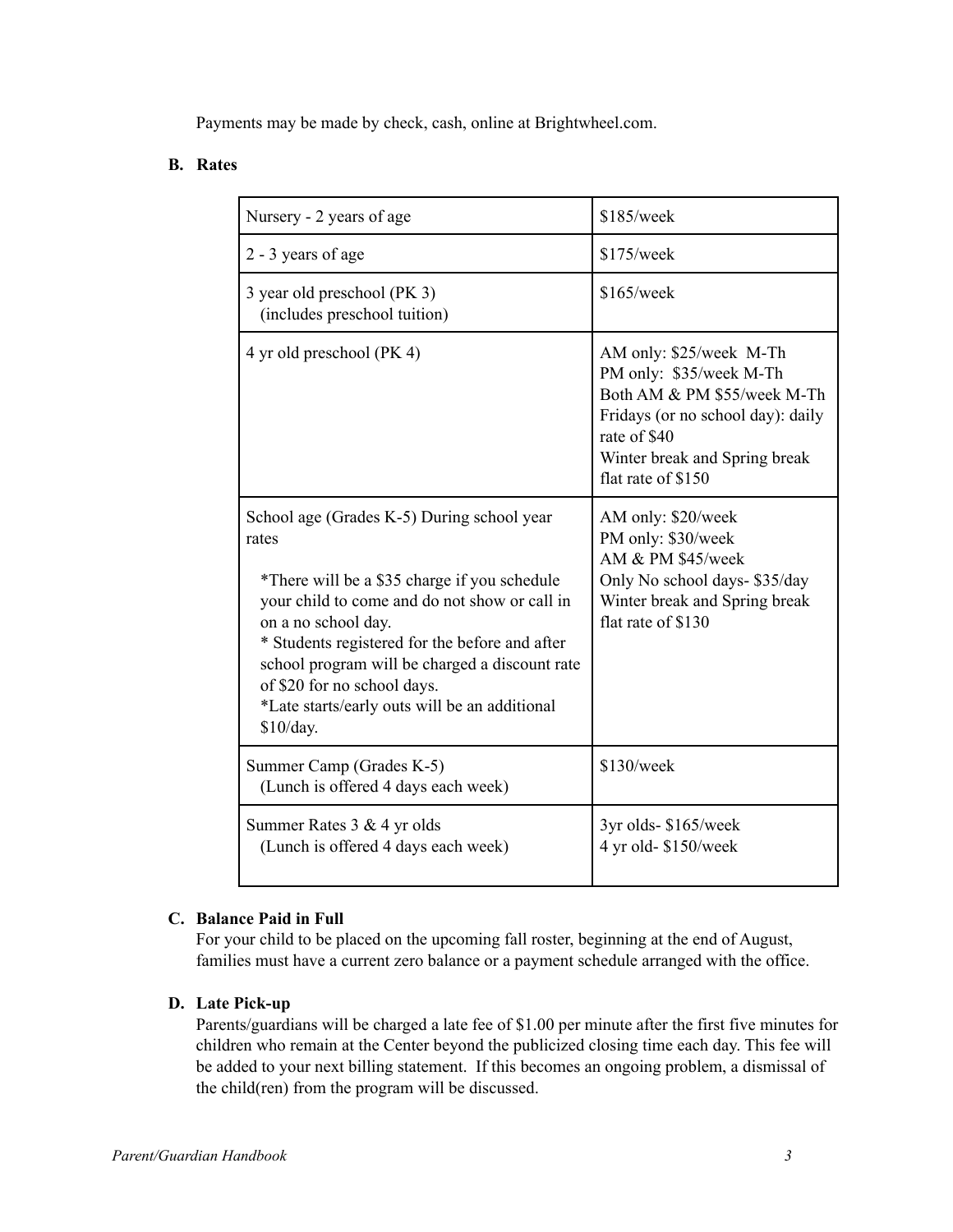Payments may be made by check, cash, online at Brightwheel.com.

#### **B. Rates**

| Nursery - 2 years of age                                                                                                                                                                                                                                                                                                                                                     | \$185/week                                                                                                                                                                                    |
|------------------------------------------------------------------------------------------------------------------------------------------------------------------------------------------------------------------------------------------------------------------------------------------------------------------------------------------------------------------------------|-----------------------------------------------------------------------------------------------------------------------------------------------------------------------------------------------|
| 2 - 3 years of age                                                                                                                                                                                                                                                                                                                                                           | \$175/week                                                                                                                                                                                    |
| 3 year old preschool (PK 3)<br>(includes preschool tuition)                                                                                                                                                                                                                                                                                                                  | $$165$ /week                                                                                                                                                                                  |
| 4 yr old preschool (PK 4)                                                                                                                                                                                                                                                                                                                                                    | AM only: \$25/week M-Th<br>PM only: \$35/week M-Th<br>Both AM & PM \$55/week M-Th<br>Fridays (or no school day): daily<br>rate of \$40<br>Winter break and Spring break<br>flat rate of \$150 |
| School age (Grades K-5) During school year<br>rates<br>*There will be a \$35 charge if you schedule<br>your child to come and do not show or call in<br>on a no school day.<br>* Students registered for the before and after<br>school program will be charged a discount rate<br>of \$20 for no school days.<br>*Late starts/early outs will be an additional<br>\$10/day. | AM only: \$20/week<br>PM only: \$30/week<br>AM & PM \$45/week<br>Only No school days- \$35/day<br>Winter break and Spring break<br>flat rate of \$130                                         |
| Summer Camp (Grades K-5)<br>(Lunch is offered 4 days each week)                                                                                                                                                                                                                                                                                                              | \$130/week                                                                                                                                                                                    |
| Summer Rates 3 & 4 yr olds<br>(Lunch is offered 4 days each week)                                                                                                                                                                                                                                                                                                            | 3yr olds- \$165/week<br>4 yr old-\$150/week                                                                                                                                                   |

#### **C. Balance Paid in Full**

For your child to be placed on the upcoming fall roster, beginning at the end of August, families must have a current zero balance or a payment schedule arranged with the office.

#### **D. Late Pick-up**

Parents/guardians will be charged a late fee of \$1.00 per minute after the first five minutes for children who remain at the Center beyond the publicized closing time each day. This fee will be added to your next billing statement. If this becomes an ongoing problem, a dismissal of the child(ren) from the program will be discussed.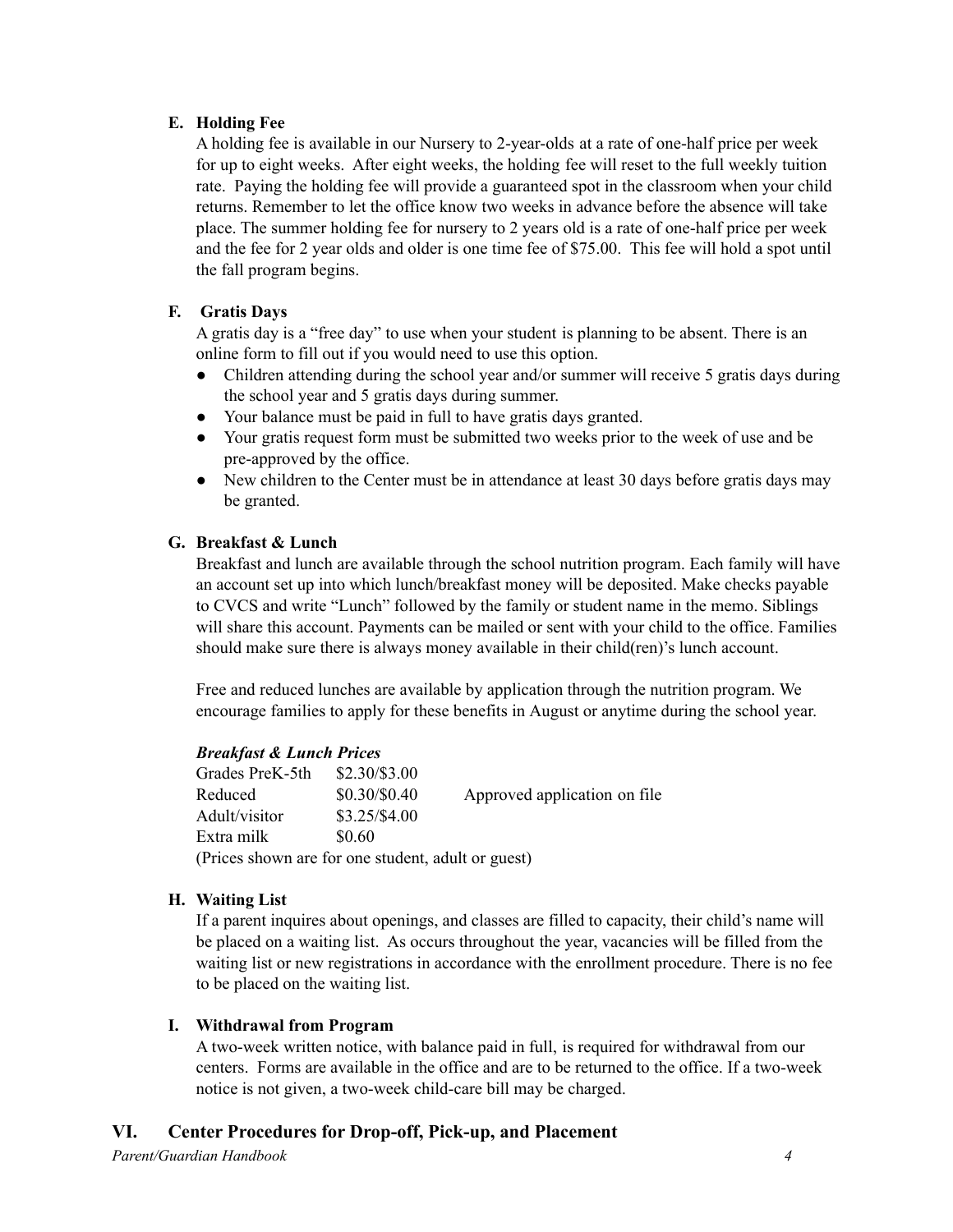### **E. Holding Fee**

A holding fee is available in our Nursery to 2-year-olds at a rate of one-half price per week for up to eight weeks. After eight weeks, the holding fee will reset to the full weekly tuition rate. Paying the holding fee will provide a guaranteed spot in the classroom when your child returns. Remember to let the office know two weeks in advance before the absence will take place. The summer holding fee for nursery to 2 years old is a rate of one-half price per week and the fee for 2 year olds and older is one time fee of \$75.00. This fee will hold a spot until the fall program begins.

# **F. Gratis Days**

A gratis day is a "free day" to use when your student is planning to be absent. There is an online form to fill out if you would need to use this option.

- Children attending during the school year and/or summer will receive 5 gratis days during the school year and 5 gratis days during summer.
- Your balance must be paid in full to have gratis days granted.
- Your gratis request form must be submitted two weeks prior to the week of use and be pre-approved by the office.
- New children to the Center must be in attendance at least 30 days before gratis days may be granted.

# **G. Breakfast & Lunch**

Breakfast and lunch are available through the school nutrition program. Each family will have an account set up into which lunch/breakfast money will be deposited. Make checks payable to CVCS and write "Lunch" followed by the family or student name in the memo. Siblings will share this account. Payments can be mailed or sent with your child to the office. Families should make sure there is always money available in their child(ren)'s lunch account.

Free and reduced lunches are available by application through the nutrition program. We encourage families to apply for these benefits in August or anytime during the school year.

### *Breakfast & Lunch Prices*

| Grades PreK-5th                                    | \$2.30/S3.00 |                              |
|----------------------------------------------------|--------------|------------------------------|
| Reduced                                            | \$0.30/S0.40 | Approved application on file |
| Adult/visitor                                      | \$3.25/S4.00 |                              |
| Extra milk                                         | \$0.60       |                              |
| (Prices shown are for one student, adult or guest) |              |                              |

### **H. Waiting List**

If a parent inquires about openings, and classes are filled to capacity, their child's name will be placed on a waiting list. As occurs throughout the year, vacancies will be filled from the waiting list or new registrations in accordance with the enrollment procedure. There is no fee to be placed on the waiting list.

### **I. Withdrawal from Program**

A two-week written notice, with balance paid in full, is required for withdrawal from our centers. Forms are available in the office and are to be returned to the office. If a two-week notice is not given, a two-week child-care bill may be charged.

# **VI. Center Procedures for Drop-off, Pick-up, and Placement**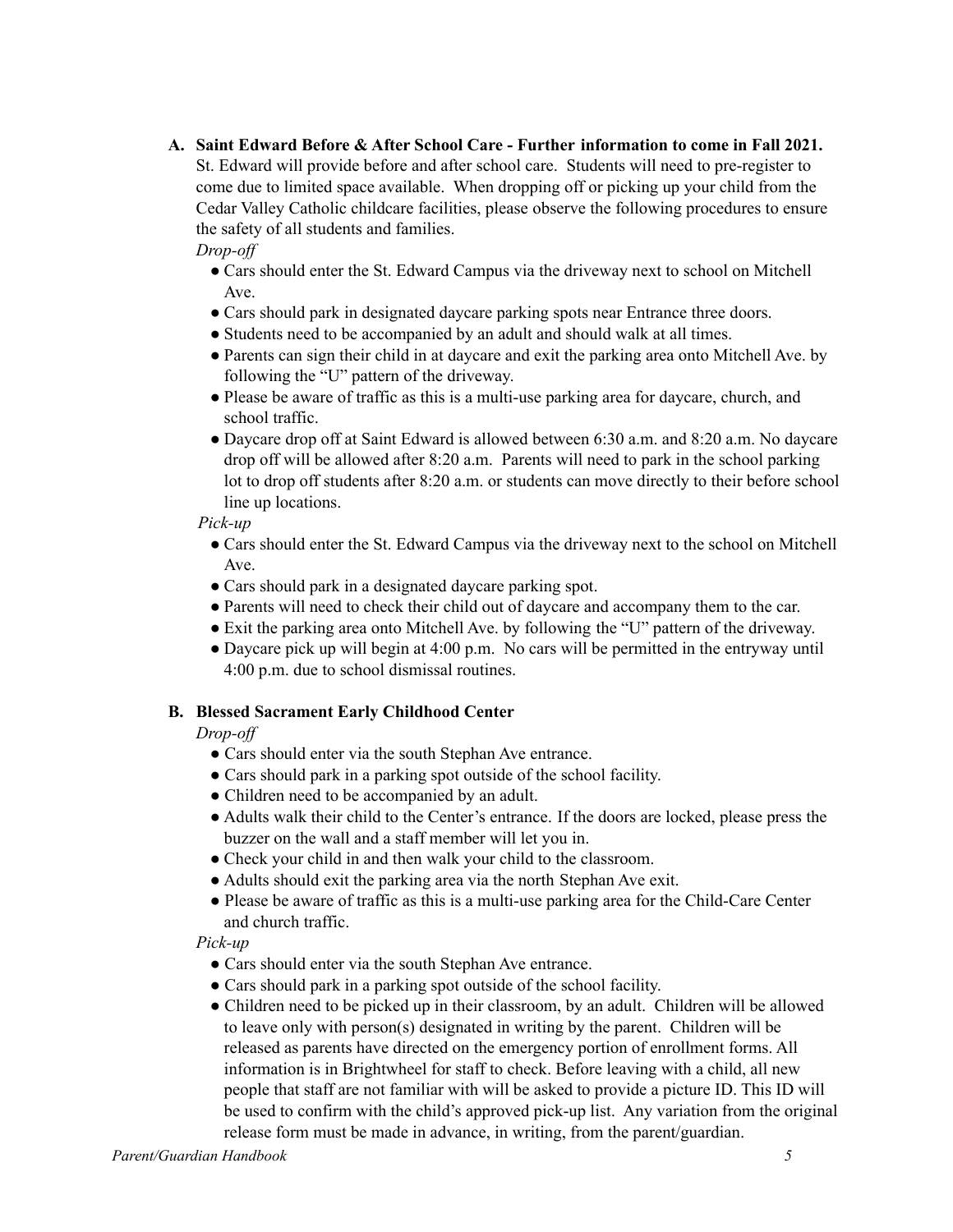**A. Saint Edward Before & After School Care - Further information to come in Fall 2021.** St. Edward will provide before and after school care. Students will need to pre-register to

come due to limited space available. When dropping off or picking up your child from the Cedar Valley Catholic childcare facilities, please observe the following procedures to ensure the safety of all students and families.

*Drop-off*

- Cars should enter the St. Edward Campus via the driveway next to school on Mitchell Ave.
- Cars should park in designated daycare parking spots near Entrance three doors.
- Students need to be accompanied by an adult and should walk at all times.
- Parents can sign their child in at daycare and exit the parking area onto Mitchell Ave. by following the "U" pattern of the driveway.
- Please be aware of traffic as this is a multi-use parking area for daycare, church, and school traffic.
- Daycare drop off at Saint Edward is allowed between 6:30 a.m. and 8:20 a.m. No daycare drop off will be allowed after 8:20 a.m. Parents will need to park in the school parking lot to drop off students after 8:20 a.m. or students can move directly to their before school line up locations.

#### *Pick-up*

- Cars should enter the St. Edward Campus via the driveway next to the school on Mitchell Ave.
- Cars should park in a designated daycare parking spot.
- Parents will need to check their child out of daycare and accompany them to the car.
- Exit the parking area onto Mitchell Ave. by following the "U" pattern of the driveway.
- Daycare pick up will begin at 4:00 p.m. No cars will be permitted in the entryway until 4:00 p.m. due to school dismissal routines.

### **B. Blessed Sacrament Early Childhood Center**

*Drop-off*

- Cars should enter via the south Stephan Ave entrance.
- Cars should park in a parking spot outside of the school facility.
- Children need to be accompanied by an adult.
- Adults walk their child to the Center's entrance. If the doors are locked, please press the buzzer on the wall and a staff member will let you in.
- Check your child in and then walk your child to the classroom.
- Adults should exit the parking area via the north Stephan Ave exit.
- Please be aware of traffic as this is a multi-use parking area for the Child-Care Center and church traffic.

*Pick-up*

- Cars should enter via the south Stephan Ave entrance.
- Cars should park in a parking spot outside of the school facility.
- Children need to be picked up in their classroom, by an adult. Children will be allowed to leave only with person(s) designated in writing by the parent. Children will be released as parents have directed on the emergency portion of enrollment forms. All information is in Brightwheel for staff to check. Before leaving with a child, all new people that staff are not familiar with will be asked to provide a picture ID. This ID will be used to confirm with the child's approved pick-up list. Any variation from the original release form must be made in advance, in writing, from the parent/guardian.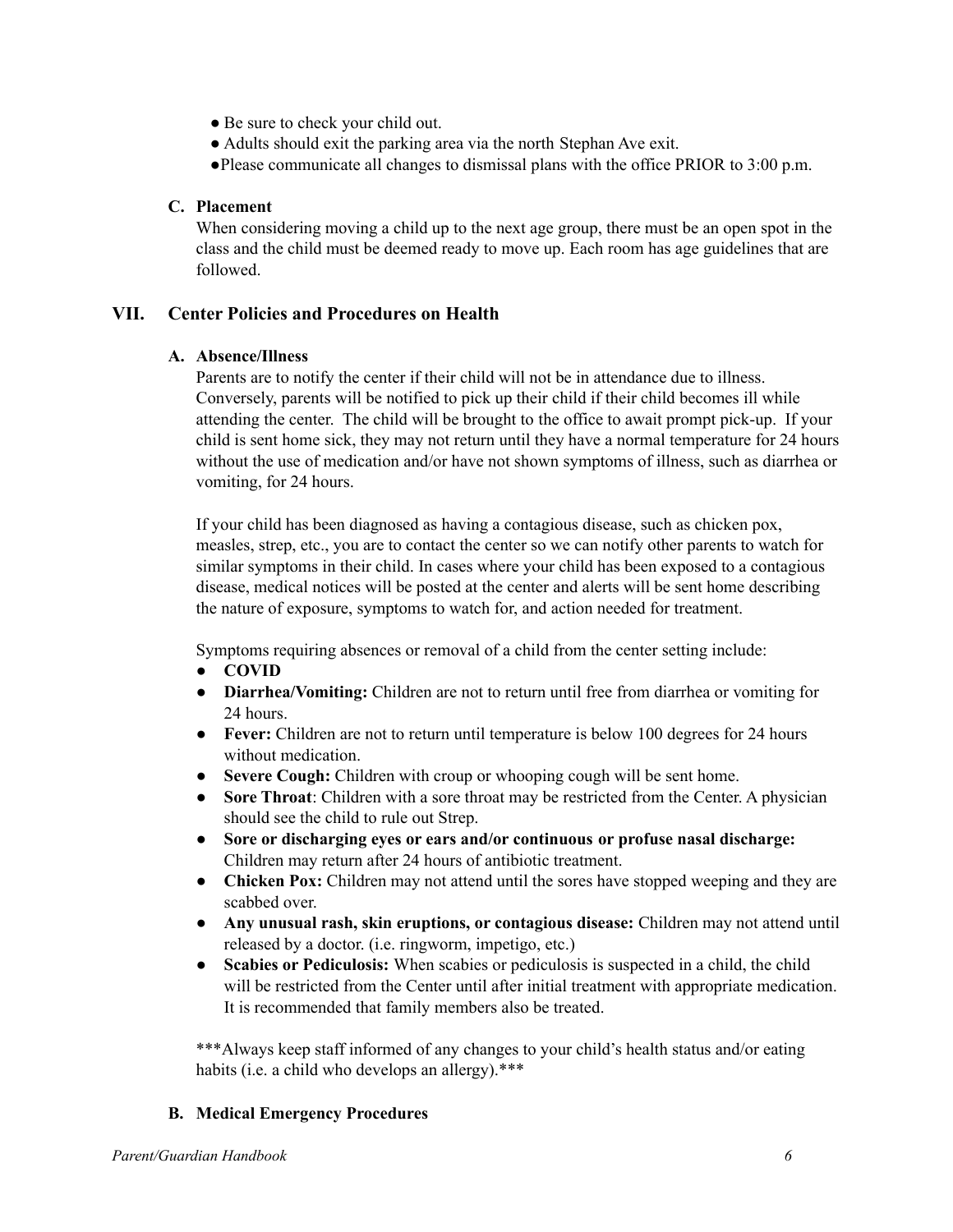- Be sure to check your child out.
- Adults should exit the parking area via the north Stephan Ave exit.
- ●Please communicate all changes to dismissal plans with the office PRIOR to 3:00 p.m.

#### **C. Placement**

When considering moving a child up to the next age group, there must be an open spot in the class and the child must be deemed ready to move up. Each room has age guidelines that are followed.

#### **VII. Center Policies and Procedures on Health**

#### **A. Absence/Illness**

Parents are to notify the center if their child will not be in attendance due to illness. Conversely, parents will be notified to pick up their child if their child becomes ill while attending the center. The child will be brought to the office to await prompt pick-up. If your child is sent home sick, they may not return until they have a normal temperature for 24 hours without the use of medication and/or have not shown symptoms of illness, such as diarrhea or vomiting, for 24 hours.

If your child has been diagnosed as having a contagious disease, such as chicken pox, measles, strep, etc., you are to contact the center so we can notify other parents to watch for similar symptoms in their child. In cases where your child has been exposed to a contagious disease, medical notices will be posted at the center and alerts will be sent home describing the nature of exposure, symptoms to watch for, and action needed for treatment.

Symptoms requiring absences or removal of a child from the center setting include:

- **COVID**
- **Diarrhea/Vomiting:** Children are not to return until free from diarrhea or vomiting for 24 hours.
- **Fever:** Children are not to return until temperature is below 100 degrees for 24 hours without medication.
- **Severe Cough:** Children with croup or whooping cough will be sent home.
- **Sore Throat:** Children with a sore throat may be restricted from the Center. A physician should see the child to rule out Strep.
- **Sore or discharging eyes or ears and/or continuous or profuse nasal discharge:** Children may return after 24 hours of antibiotic treatment.
- **Chicken Pox:** Children may not attend until the sores have stopped weeping and they are scabbed over.
- **Any unusual rash, skin eruptions, or contagious disease:** Children may not attend until released by a doctor. (i.e. ringworm, impetigo, etc.)
- **Scabies or Pediculosis:** When scabies or pediculosis is suspected in a child, the child will be restricted from the Center until after initial treatment with appropriate medication. It is recommended that family members also be treated.

\*\*\*Always keep staff informed of any changes to your child's health status and/or eating habits (i.e. a child who develops an allergy).\*\*\*

### **B. Medical Emergency Procedures**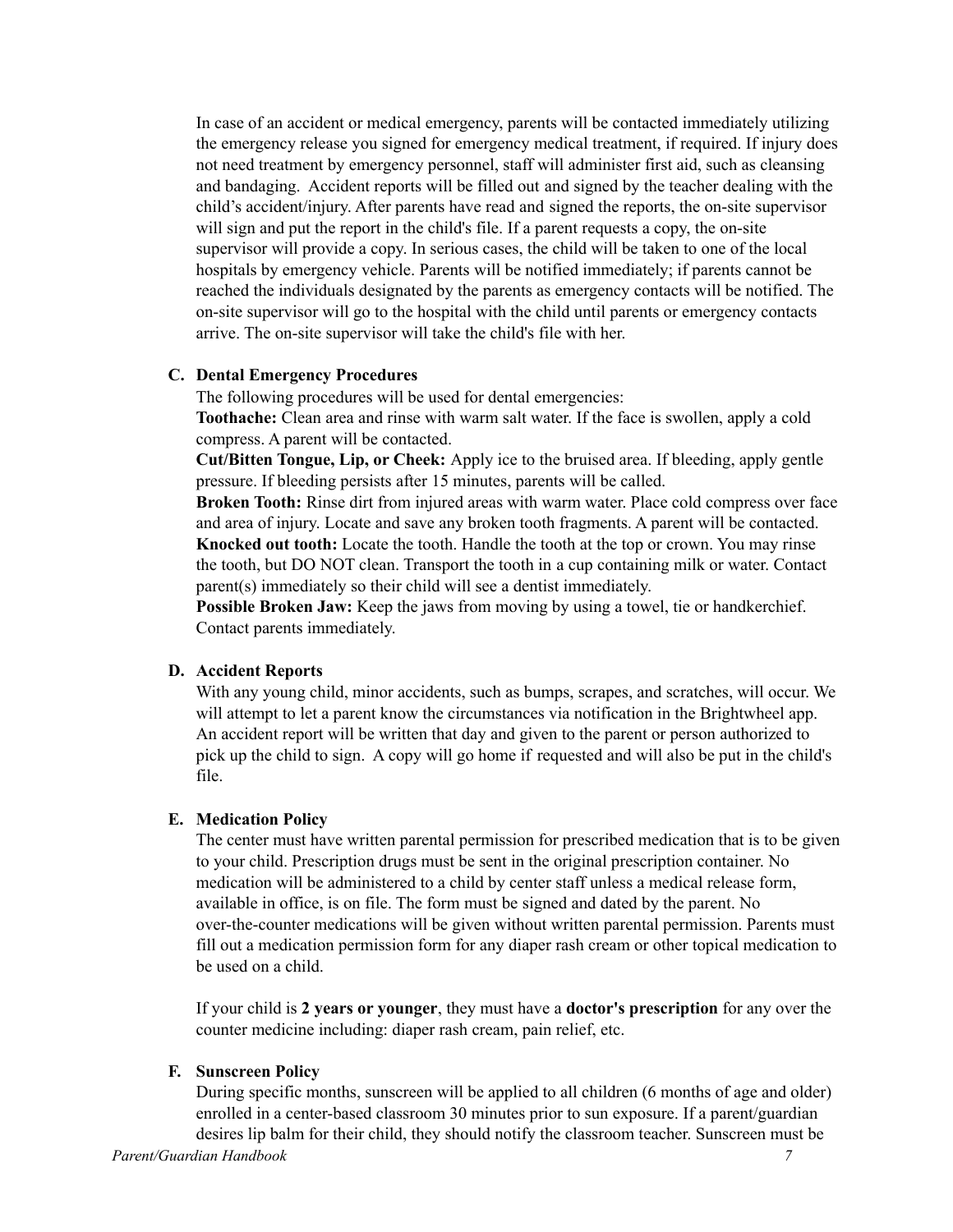In case of an accident or medical emergency, parents will be contacted immediately utilizing the emergency release you signed for emergency medical treatment, if required. If injury does not need treatment by emergency personnel, staff will administer first aid, such as cleansing and bandaging. Accident reports will be filled out and signed by the teacher dealing with the child's accident/injury. After parents have read and signed the reports, the on-site supervisor will sign and put the report in the child's file. If a parent requests a copy, the on-site supervisor will provide a copy. In serious cases, the child will be taken to one of the local hospitals by emergency vehicle. Parents will be notified immediately; if parents cannot be reached the individuals designated by the parents as emergency contacts will be notified. The on-site supervisor will go to the hospital with the child until parents or emergency contacts arrive. The on-site supervisor will take the child's file with her.

#### **C. Dental Emergency Procedures**

The following procedures will be used for dental emergencies:

**Toothache:** Clean area and rinse with warm salt water. If the face is swollen, apply a cold compress. A parent will be contacted.

**Cut/Bitten Tongue, Lip, or Cheek:** Apply ice to the bruised area. If bleeding, apply gentle pressure. If bleeding persists after 15 minutes, parents will be called.

**Broken Tooth:** Rinse dirt from injured areas with warm water. Place cold compress over face and area of injury. Locate and save any broken tooth fragments. A parent will be contacted. **Knocked out tooth:** Locate the tooth. Handle the tooth at the top or crown. You may rinse the tooth, but DO NOT clean. Transport the tooth in a cup containing milk or water. Contact parent(s) immediately so their child will see a dentist immediately.

**Possible Broken Jaw:** Keep the jaws from moving by using a towel, tie or handkerchief. Contact parents immediately.

#### **D. Accident Reports**

With any young child, minor accidents, such as bumps, scrapes, and scratches, will occur. We will attempt to let a parent know the circumstances via notification in the Brightwheel app. An accident report will be written that day and given to the parent or person authorized to pick up the child to sign. A copy will go home if requested and will also be put in the child's file.

#### **E. Medication Policy**

The center must have written parental permission for prescribed medication that is to be given to your child. Prescription drugs must be sent in the original prescription container. No medication will be administered to a child by center staff unless a medical release form, available in office, is on file. The form must be signed and dated by the parent. No over-the-counter medications will be given without written parental permission. Parents must fill out a medication permission form for any diaper rash cream or other topical medication to be used on a child.

If your child is **2 years or younger**, they must have a **doctor's prescription** for any over the counter medicine including: diaper rash cream, pain relief, etc.

#### **F. Sunscreen Policy**

During specific months, sunscreen will be applied to all children (6 months of age and older) enrolled in a center-based classroom 30 minutes prior to sun exposure. If a parent/guardian desires lip balm for their child, they should notify the classroom teacher. Sunscreen must be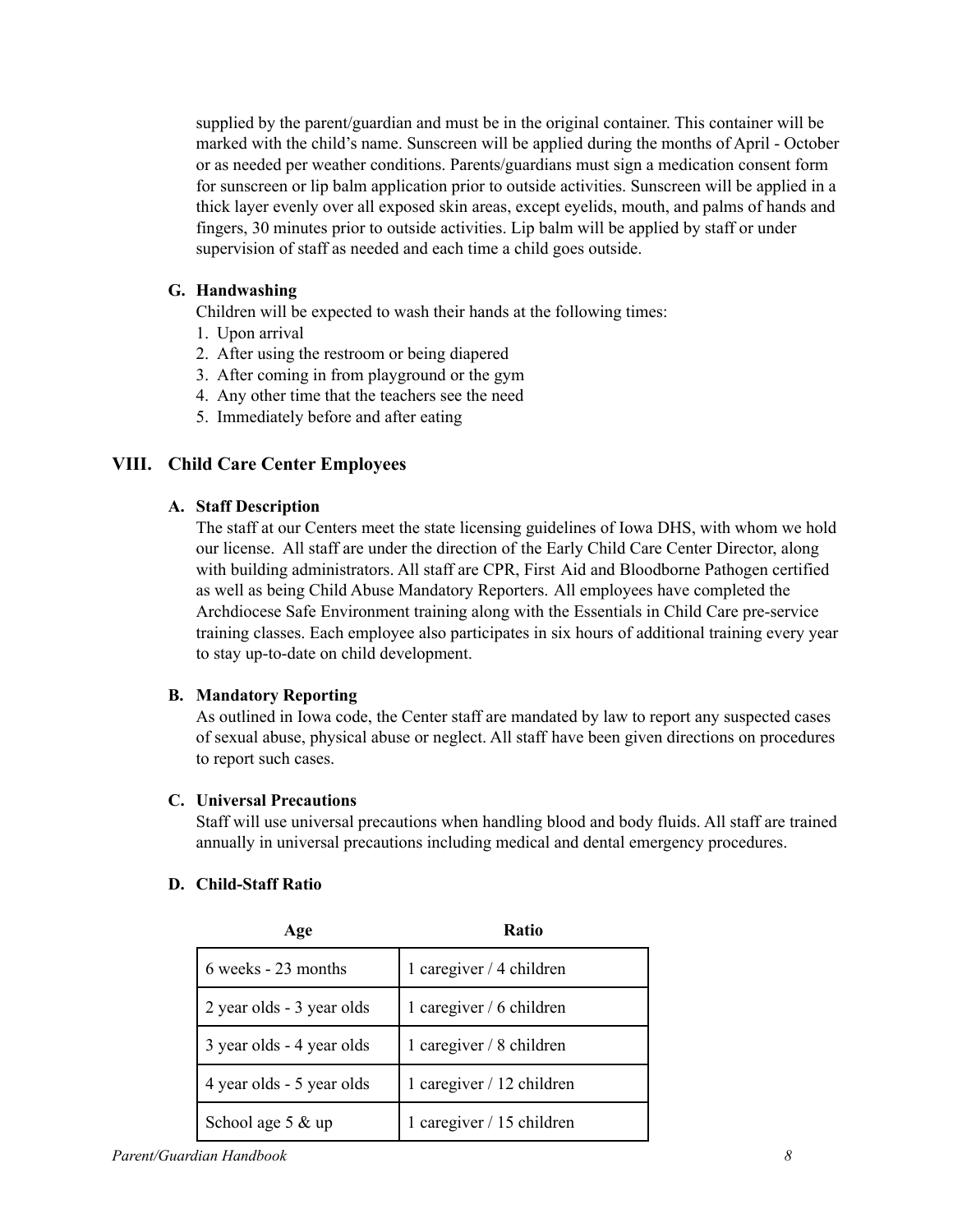supplied by the parent/guardian and must be in the original container. This container will be marked with the child's name. Sunscreen will be applied during the months of April - October or as needed per weather conditions. Parents/guardians must sign a medication consent form for sunscreen or lip balm application prior to outside activities. Sunscreen will be applied in a thick layer evenly over all exposed skin areas, except eyelids, mouth, and palms of hands and fingers, 30 minutes prior to outside activities. Lip balm will be applied by staff or under supervision of staff as needed and each time a child goes outside.

### **G. Handwashing**

Children will be expected to wash their hands at the following times:

- 1. Upon arrival
- 2. After using the restroom or being diapered
- 3. After coming in from playground or the gym
- 4. Any other time that the teachers see the need
- 5. Immediately before and after eating

# **VIII. Child Care Center Employees**

### **A. Staff Description**

The staff at our Centers meet the state licensing guidelines of Iowa DHS, with whom we hold our license. All staff are under the direction of the Early Child Care Center Director, along with building administrators. All staff are CPR, First Aid and Bloodborne Pathogen certified as well as being Child Abuse Mandatory Reporters. All employees have completed the Archdiocese Safe Environment training along with the Essentials in Child Care pre-service training classes. Each employee also participates in six hours of additional training every year to stay up-to-date on child development.

### **B. Mandatory Reporting**

As outlined in Iowa code, the Center staff are mandated by law to report any suspected cases of sexual abuse, physical abuse or neglect. All staff have been given directions on procedures to report such cases.

### **C. Universal Precautions**

Staff will use universal precautions when handling blood and body fluids. All staff are trained annually in universal precautions including medical and dental emergency procedures.

### **D. Child-Staff Ratio**

| Age                       | <b>Ratio</b>              |
|---------------------------|---------------------------|
| 6 weeks - 23 months       | 1 caregiver / 4 children  |
| 2 year olds - 3 year olds | 1 caregiver / 6 children  |
| 3 year olds - 4 year olds | 1 caregiver / 8 children  |
| 4 year olds - 5 year olds | 1 caregiver / 12 children |
| School age $5 &$ up       | 1 caregiver / 15 children |

*Parent/Guardian Handbook 8*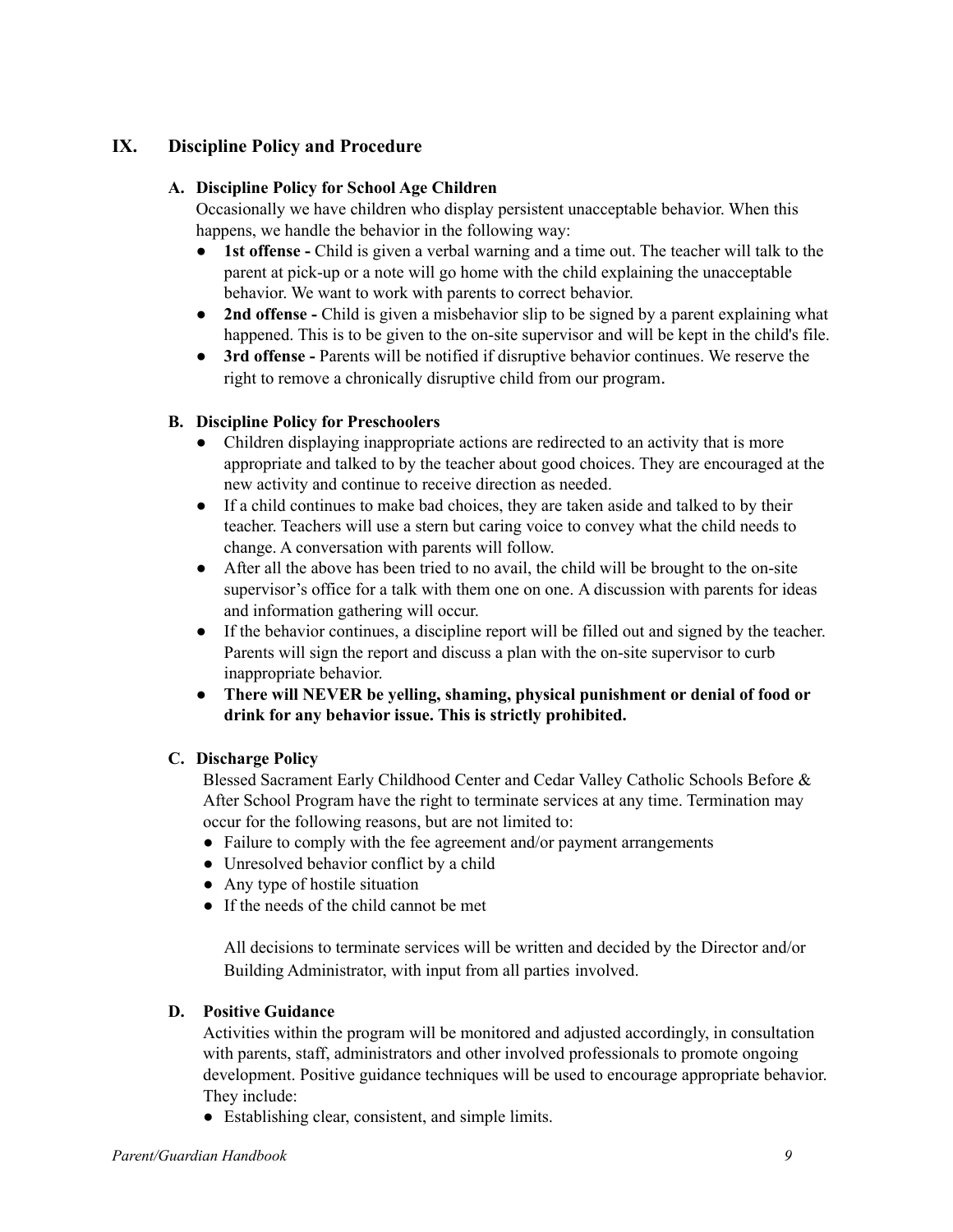# **IX. Discipline Policy and Procedure**

#### **A. Discipline Policy for School Age Children**

Occasionally we have children who display persistent unacceptable behavior. When this happens, we handle the behavior in the following way:

- **1st offense -** Child is given a verbal warning and a time out. The teacher will talk to the parent at pick-up or a note will go home with the child explaining the unacceptable behavior. We want to work with parents to correct behavior.
- **2nd offense -** Child is given a misbehavior slip to be signed by a parent explaining what happened. This is to be given to the on-site supervisor and will be kept in the child's file.
- **3rd offense -** Parents will be notified if disruptive behavior continues. We reserve the right to remove a chronically disruptive child from our program.

#### **B. Discipline Policy for Preschoolers**

- Children displaying inappropriate actions are redirected to an activity that is more appropriate and talked to by the teacher about good choices. They are encouraged at the new activity and continue to receive direction as needed.
- If a child continues to make bad choices, they are taken aside and talked to by their teacher. Teachers will use a stern but caring voice to convey what the child needs to change. A conversation with parents will follow.
- After all the above has been tried to no avail, the child will be brought to the on-site supervisor's office for a talk with them one on one. A discussion with parents for ideas and information gathering will occur.
- If the behavior continues, a discipline report will be filled out and signed by the teacher. Parents will sign the report and discuss a plan with the on-site supervisor to curb inappropriate behavior.
- **There will NEVER be yelling, shaming, physical punishment or denial of food or drink for any behavior issue. This is strictly prohibited.**

### **C. Discharge Policy**

Blessed Sacrament Early Childhood Center and Cedar Valley Catholic Schools Before & After School Program have the right to terminate services at any time. Termination may occur for the following reasons, but are not limited to:

- Failure to comply with the fee agreement and/or payment arrangements
- Unresolved behavior conflict by a child
- Any type of hostile situation
- If the needs of the child cannot be met

All decisions to terminate services will be written and decided by the Director and/or Building Administrator, with input from all parties involved.

#### **D. Positive Guidance**

Activities within the program will be monitored and adjusted accordingly, in consultation with parents, staff, administrators and other involved professionals to promote ongoing development. Positive guidance techniques will be used to encourage appropriate behavior. They include:

• Establishing clear, consistent, and simple limits.

#### *Parent/Guardian Handbook 9*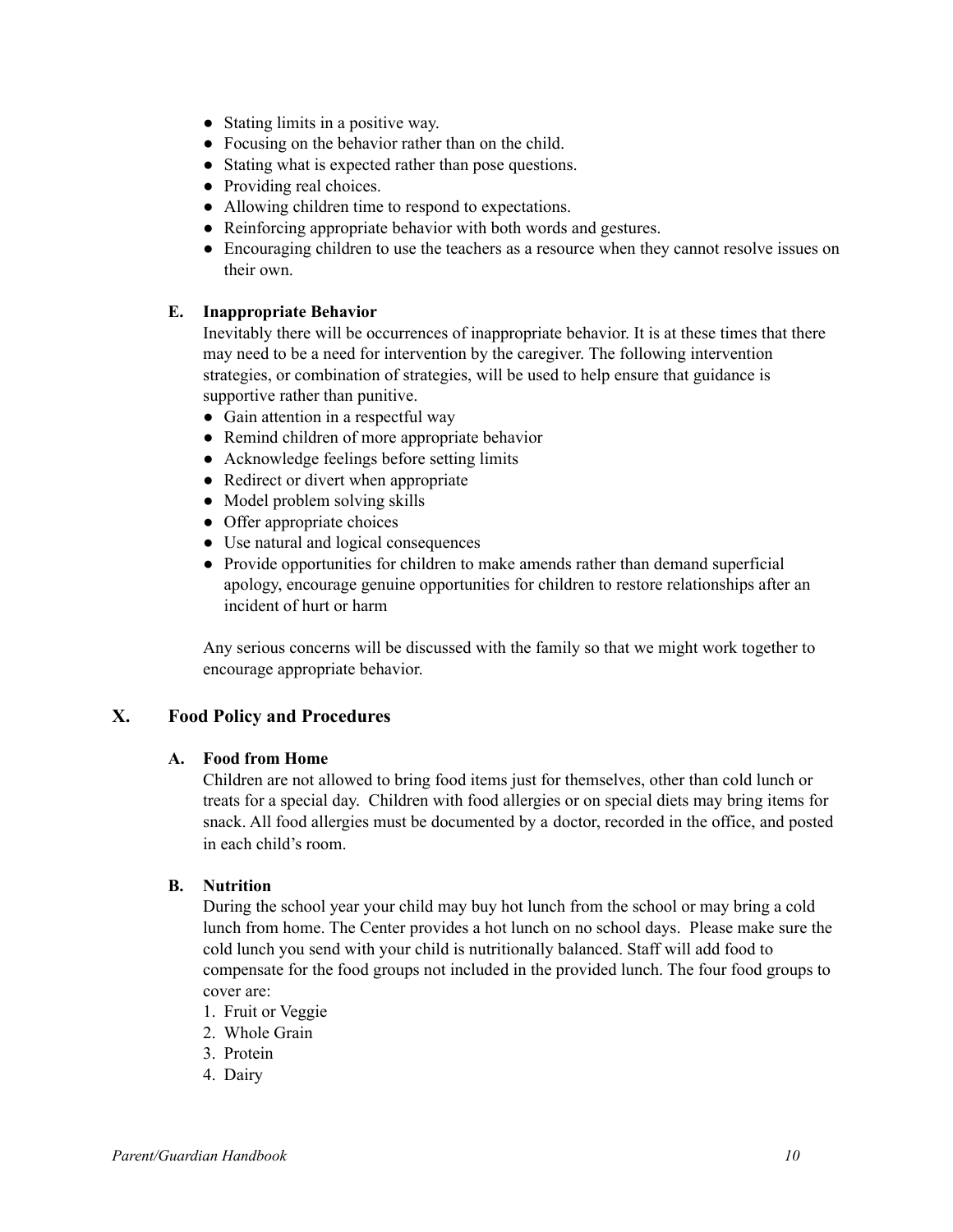- Stating limits in a positive way.
- Focusing on the behavior rather than on the child.
- Stating what is expected rather than pose questions.
- Providing real choices.
- Allowing children time to respond to expectations.
- Reinforcing appropriate behavior with both words and gestures.
- Encouraging children to use the teachers as a resource when they cannot resolve issues on their own.

#### **E. Inappropriate Behavior**

Inevitably there will be occurrences of inappropriate behavior. It is at these times that there may need to be a need for intervention by the caregiver. The following intervention strategies, or combination of strategies, will be used to help ensure that guidance is supportive rather than punitive.

- Gain attention in a respectful way
- Remind children of more appropriate behavior
- Acknowledge feelings before setting limits
- Redirect or divert when appropriate
- Model problem solving skills
- Offer appropriate choices
- Use natural and logical consequences
- Provide opportunities for children to make amends rather than demand superficial apology, encourage genuine opportunities for children to restore relationships after an incident of hurt or harm

Any serious concerns will be discussed with the family so that we might work together to encourage appropriate behavior.

### **X. Food Policy and Procedures**

#### **A. Food from Home**

Children are not allowed to bring food items just for themselves, other than cold lunch or treats for a special day. Children with food allergies or on special diets may bring items for snack. All food allergies must be documented by a doctor, recorded in the office, and posted in each child's room.

#### **B. Nutrition**

During the school year your child may buy hot lunch from the school or may bring a cold lunch from home. The Center provides a hot lunch on no school days. Please make sure the cold lunch you send with your child is nutritionally balanced. Staff will add food to compensate for the food groups not included in the provided lunch. The four food groups to cover are:

- 1. Fruit or Veggie
- 2. Whole Grain
- 3. Protein
- 4. Dairy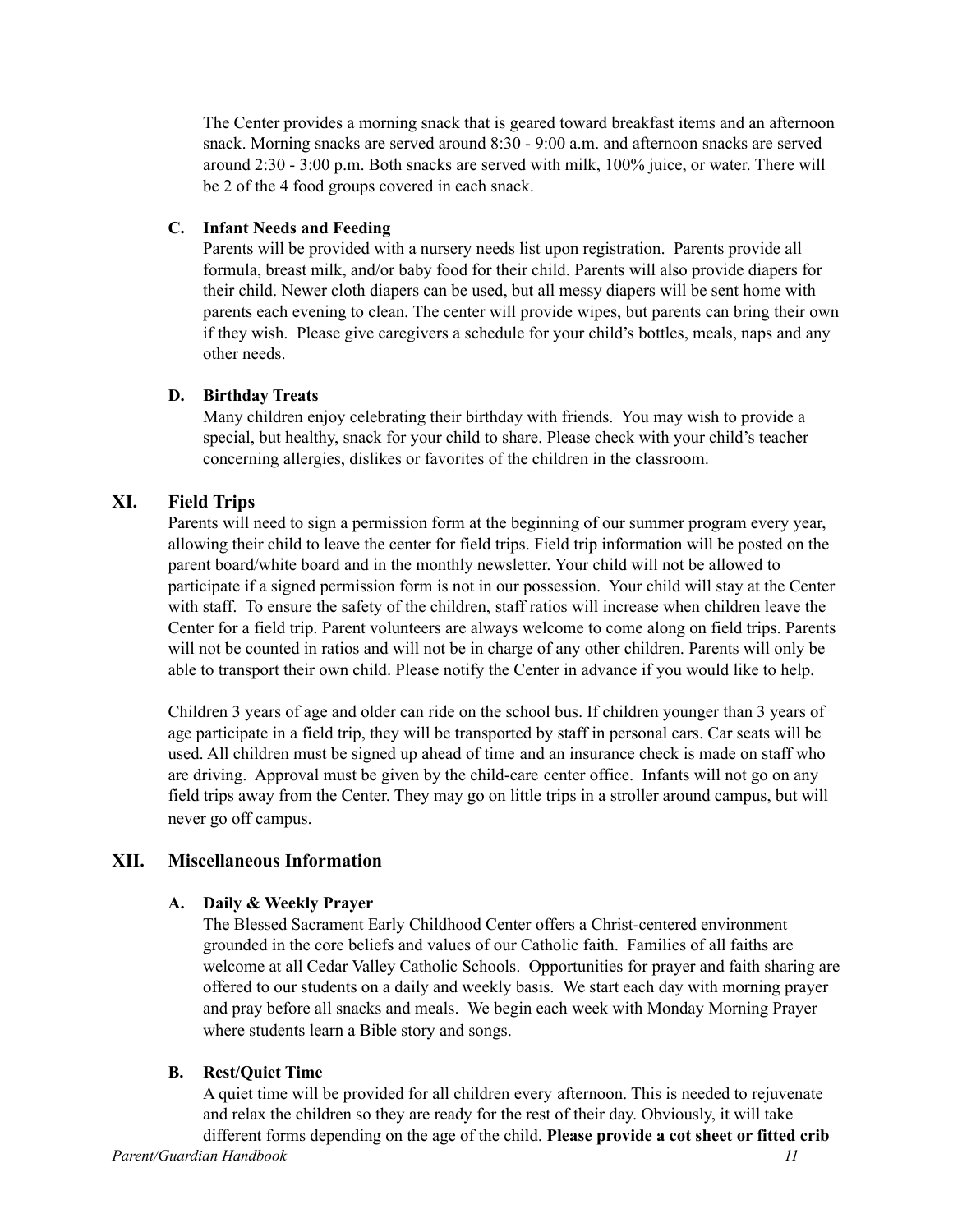The Center provides a morning snack that is geared toward breakfast items and an afternoon snack. Morning snacks are served around 8:30 - 9:00 a.m. and afternoon snacks are served around 2:30 - 3:00 p.m. Both snacks are served with milk, 100% juice, or water. There will be 2 of the 4 food groups covered in each snack.

# **C. Infant Needs and Feeding**

Parents will be provided with a nursery needs list upon registration. Parents provide all formula, breast milk, and/or baby food for their child. Parents will also provide diapers for their child. Newer cloth diapers can be used, but all messy diapers will be sent home with parents each evening to clean. The center will provide wipes, but parents can bring their own if they wish. Please give caregivers a schedule for your child's bottles, meals, naps and any other needs.

# **D. Birthday Treats**

Many children enjoy celebrating their birthday with friends. You may wish to provide a special, but healthy, snack for your child to share. Please check with your child's teacher concerning allergies, dislikes or favorites of the children in the classroom.

# **XI. Field Trips**

Parents will need to sign a permission form at the beginning of our summer program every year, allowing their child to leave the center for field trips. Field trip information will be posted on the parent board/white board and in the monthly newsletter. Your child will not be allowed to participate if a signed permission form is not in our possession. Your child will stay at the Center with staff. To ensure the safety of the children, staff ratios will increase when children leave the Center for a field trip. Parent volunteers are always welcome to come along on field trips. Parents will not be counted in ratios and will not be in charge of any other children. Parents will only be able to transport their own child. Please notify the Center in advance if you would like to help.

Children 3 years of age and older can ride on the school bus. If children younger than 3 years of age participate in a field trip, they will be transported by staff in personal cars. Car seats will be used. All children must be signed up ahead of time and an insurance check is made on staff who are driving. Approval must be given by the child-care center office. Infants will not go on any field trips away from the Center. They may go on little trips in a stroller around campus, but will never go off campus.

# **XII. Miscellaneous Information**

# **A. Daily & Weekly Prayer**

The Blessed Sacrament Early Childhood Center offers a Christ-centered environment grounded in the core beliefs and values of our Catholic faith. Families of all faiths are welcome at all Cedar Valley Catholic Schools. Opportunities for prayer and faith sharing are offered to our students on a daily and weekly basis. We start each day with morning prayer and pray before all snacks and meals. We begin each week with Monday Morning Prayer where students learn a Bible story and songs.

# **B. Rest/Quiet Time**

A quiet time will be provided for all children every afternoon. This is needed to rejuvenate and relax the children so they are ready for the rest of their day. Obviously, it will take different forms depending on the age of the child. **Please provide a cot sheet or fitted crib**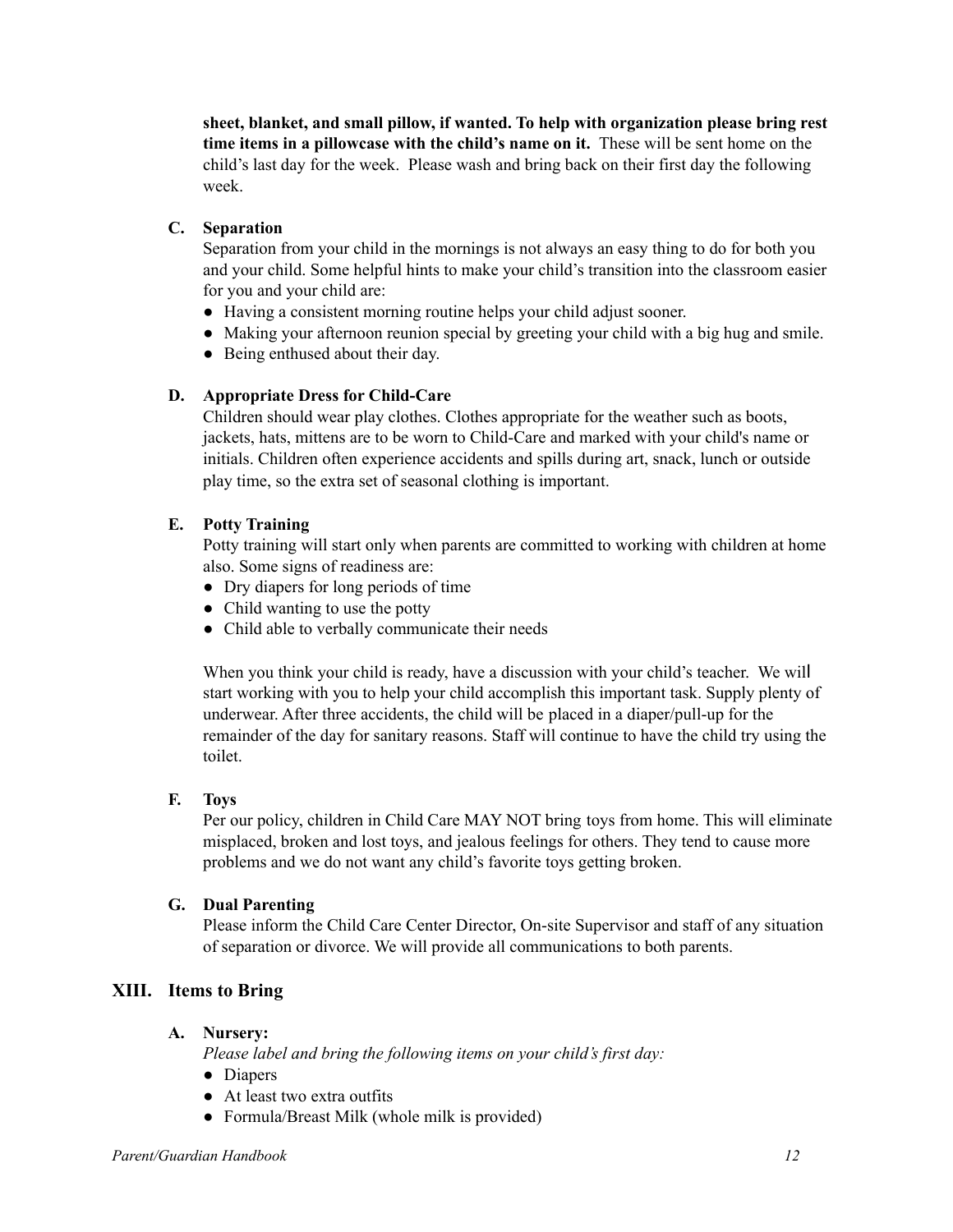**sheet, blanket, and small pillow, if wanted. To help with organization please bring rest time items in a pillowcase with the child's name on it.** These will be sent home on the child's last day for the week. Please wash and bring back on their first day the following week.

# **C. Separation**

Separation from your child in the mornings is not always an easy thing to do for both you and your child. Some helpful hints to make your child's transition into the classroom easier for you and your child are:

- Having a consistent morning routine helps your child adjust sooner.
- Making your afternoon reunion special by greeting your child with a big hug and smile.
- Being enthused about their day.

# **D. Appropriate Dress for Child-Care**

Children should wear play clothes. Clothes appropriate for the weather such as boots, jackets, hats, mittens are to be worn to Child-Care and marked with your child's name or initials. Children often experience accidents and spills during art, snack, lunch or outside play time, so the extra set of seasonal clothing is important.

# **E. Potty Training**

Potty training will start only when parents are committed to working with children at home also. Some signs of readiness are:

- Dry diapers for long periods of time
- Child wanting to use the potty
- Child able to verbally communicate their needs

When you think your child is ready, have a discussion with your child's teacher. We will start working with you to help your child accomplish this important task. Supply plenty of underwear. After three accidents, the child will be placed in a diaper/pull-up for the remainder of the day for sanitary reasons. Staff will continue to have the child try using the toilet.

### **F. Toys**

Per our policy, children in Child Care MAY NOT bring toys from home. This will eliminate misplaced, broken and lost toys, and jealous feelings for others. They tend to cause more problems and we do not want any child's favorite toys getting broken.

### **G. Dual Parenting**

Please inform the Child Care Center Director, On-site Supervisor and staff of any situation of separation or divorce. We will provide all communications to both parents.

# **XIII. Items to Bring**

### **A. Nursery:**

*Please label and bring the following items on your child's first day:*

- Diapers
- At least two extra outfits
- Formula/Breast Milk (whole milk is provided)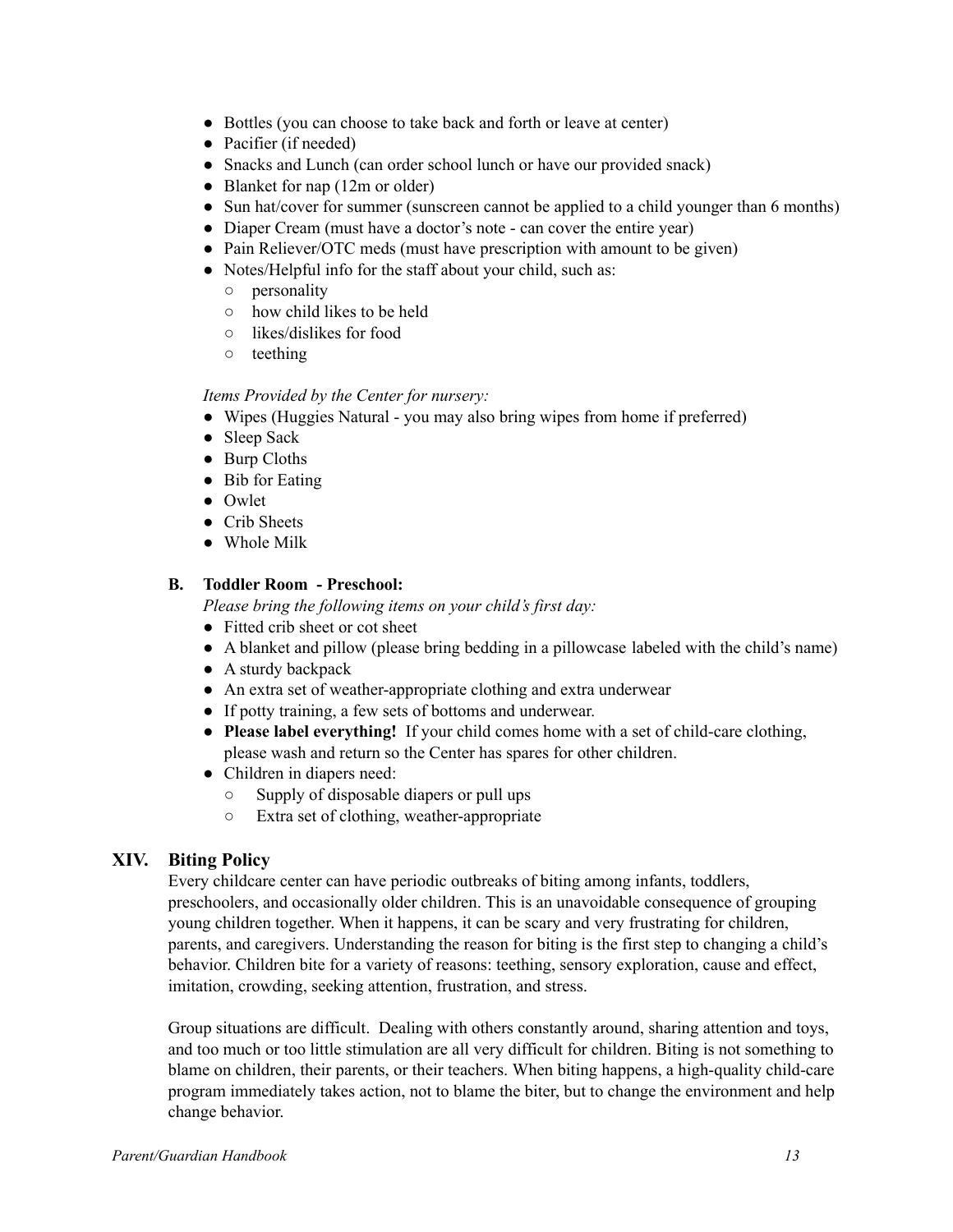- Bottles (you can choose to take back and forth or leave at center)
- Pacifier (if needed)
- Snacks and Lunch (can order school lunch or have our provided snack)
- Blanket for nap (12m or older)
- Sun hat/cover for summer (sunscreen cannot be applied to a child younger than 6 months)
- Diaper Cream (must have a doctor's note can cover the entire year)
- Pain Reliever/OTC meds (must have prescription with amount to be given)
- Notes/Helpful info for the staff about your child, such as:
	- personality
	- how child likes to be held
	- likes/dislikes for food
	- teething

#### *Items Provided by the Center for nursery:*

- Wipes (Huggies Natural you may also bring wipes from home if preferred)
- Sleep Sack
- Burp Cloths
- Bib for Eating
- Owlet
- Crib Sheets
- Whole Milk

#### **B. Toddler Room - Preschool:**

*Please bring the following items on your child's first day:*

- Fitted crib sheet or cot sheet
- A blanket and pillow (please bring bedding in a pillowcase labeled with the child's name)
- A sturdy backpack
- An extra set of weather-appropriate clothing and extra underwear
- If potty training, a few sets of bottoms and underwear.
- **Please label everything!** If your child comes home with a set of child-care clothing, please wash and return so the Center has spares for other children.
- Children in diapers need:
	- Supply of disposable diapers or pull ups
	- Extra set of clothing, weather-appropriate

### **XIV. Biting Policy**

Every childcare center can have periodic outbreaks of biting among infants, toddlers, preschoolers, and occasionally older children. This is an unavoidable consequence of grouping young children together. When it happens, it can be scary and very frustrating for children, parents, and caregivers. Understanding the reason for biting is the first step to changing a child's behavior. Children bite for a variety of reasons: teething, sensory exploration, cause and effect, imitation, crowding, seeking attention, frustration, and stress.

Group situations are difficult. Dealing with others constantly around, sharing attention and toys, and too much or too little stimulation are all very difficult for children. Biting is not something to blame on children, their parents, or their teachers. When biting happens, a high-quality child-care program immediately takes action, not to blame the biter, but to change the environment and help change behavior.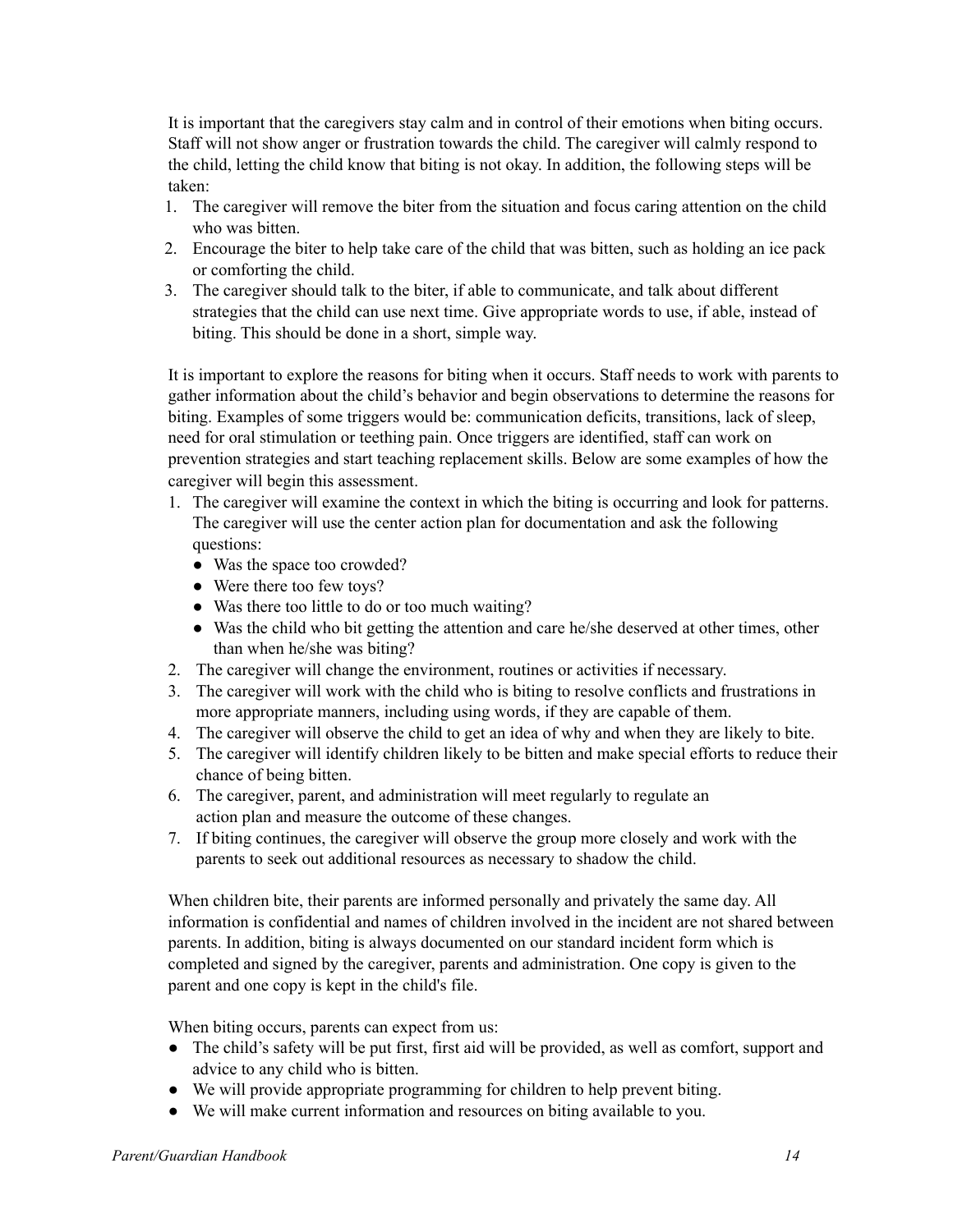It is important that the caregivers stay calm and in control of their emotions when biting occurs. Staff will not show anger or frustration towards the child. The caregiver will calmly respond to the child, letting the child know that biting is not okay. In addition, the following steps will be taken:

- 1. The caregiver will remove the biter from the situation and focus caring attention on the child who was bitten.
- 2. Encourage the biter to help take care of the child that was bitten, such as holding an ice pack or comforting the child.
- 3. The caregiver should talk to the biter, if able to communicate, and talk about different strategies that the child can use next time. Give appropriate words to use, if able, instead of biting. This should be done in a short, simple way.

It is important to explore the reasons for biting when it occurs. Staff needs to work with parents to gather information about the child's behavior and begin observations to determine the reasons for biting. Examples of some triggers would be: communication deficits, transitions, lack of sleep, need for oral stimulation or teething pain. Once triggers are identified, staff can work on prevention strategies and start teaching replacement skills. Below are some examples of how the caregiver will begin this assessment.

- 1. The caregiver will examine the context in which the biting is occurring and look for patterns. The caregiver will use the center action plan for documentation and ask the following questions:
	- Was the space too crowded?
	- Were there too few toys?
	- Was there too little to do or too much waiting?
	- Was the child who bit getting the attention and care he/she deserved at other times, other than when he/she was biting?
- 2. The caregiver will change the environment, routines or activities if necessary.
- 3. The caregiver will work with the child who is biting to resolve conflicts and frustrations in more appropriate manners, including using words, if they are capable of them.
- 4. The caregiver will observe the child to get an idea of why and when they are likely to bite.
- 5. The caregiver will identify children likely to be bitten and make special efforts to reduce their chance of being bitten.
- 6. The caregiver, parent, and administration will meet regularly to regulate an action plan and measure the outcome of these changes.
- 7. If biting continues, the caregiver will observe the group more closely and work with the parents to seek out additional resources as necessary to shadow the child.

When children bite, their parents are informed personally and privately the same day. All information is confidential and names of children involved in the incident are not shared between parents. In addition, biting is always documented on our standard incident form which is completed and signed by the caregiver, parents and administration. One copy is given to the parent and one copy is kept in the child's file.

When biting occurs, parents can expect from us:

- The child's safety will be put first, first aid will be provided, as well as comfort, support and advice to any child who is bitten.
- We will provide appropriate programming for children to help prevent biting.
- We will make current information and resources on biting available to you.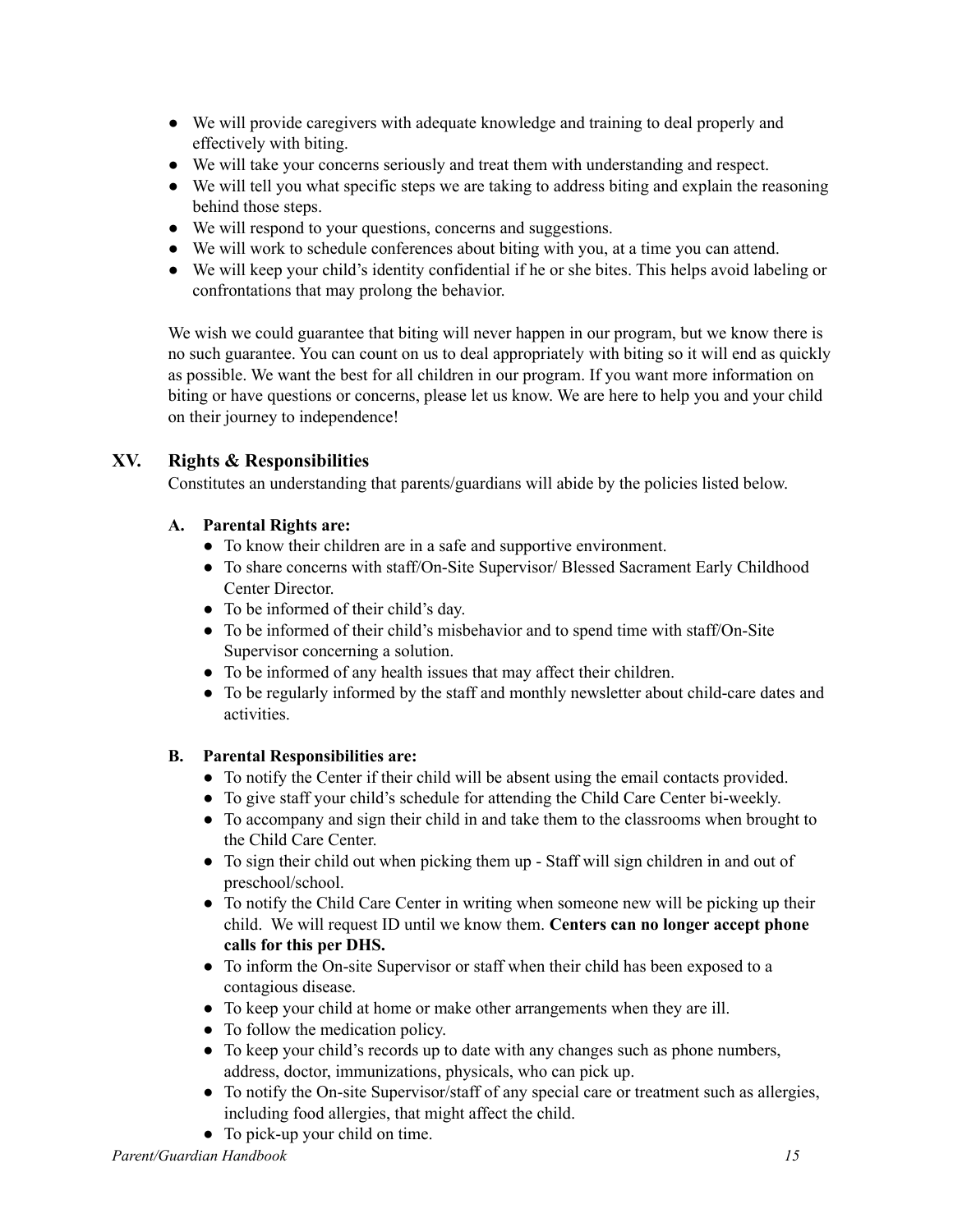- We will provide caregivers with adequate knowledge and training to deal properly and effectively with biting.
- We will take your concerns seriously and treat them with understanding and respect.
- We will tell you what specific steps we are taking to address biting and explain the reasoning behind those steps.
- We will respond to your questions, concerns and suggestions.
- We will work to schedule conferences about biting with you, at a time you can attend.
- We will keep your child's identity confidential if he or she bites. This helps avoid labeling or confrontations that may prolong the behavior.

We wish we could guarantee that biting will never happen in our program, but we know there is no such guarantee. You can count on us to deal appropriately with biting so it will end as quickly as possible. We want the best for all children in our program. If you want more information on biting or have questions or concerns, please let us know. We are here to help you and your child on their journey to independence!

# **XV. Rights & Responsibilities**

Constitutes an understanding that parents/guardians will abide by the policies listed below.

### **A. Parental Rights are:**

- To know their children are in a safe and supportive environment.
- To share concerns with staff/On-Site Supervisor/ Blessed Sacrament Early Childhood Center Director.
- To be informed of their child's day.
- To be informed of their child's misbehavior and to spend time with staff/On-Site Supervisor concerning a solution.
- To be informed of any health issues that may affect their children.
- To be regularly informed by the staff and monthly newsletter about child-care dates and activities.

### **B. Parental Responsibilities are:**

- To notify the Center if their child will be absent using the email contacts provided.
- To give staff your child's schedule for attending the Child Care Center bi-weekly.
- To accompany and sign their child in and take them to the classrooms when brought to the Child Care Center.
- To sign their child out when picking them up Staff will sign children in and out of preschool/school.
- **●** To notify the Child Care Center in writing when someone new will be picking up their child. We will request ID until we know them. **Centers can no longer accept phone calls for this per DHS.**
- To inform the On-site Supervisor or staff when their child has been exposed to a contagious disease.
- To keep your child at home or make other arrangements when they are ill.
- To follow the medication policy.
- To keep your child's records up to date with any changes such as phone numbers, address, doctor, immunizations, physicals, who can pick up.
- To notify the On-site Supervisor/staff of any special care or treatment such as allergies, including food allergies, that might affect the child.
- To pick-up your child on time.